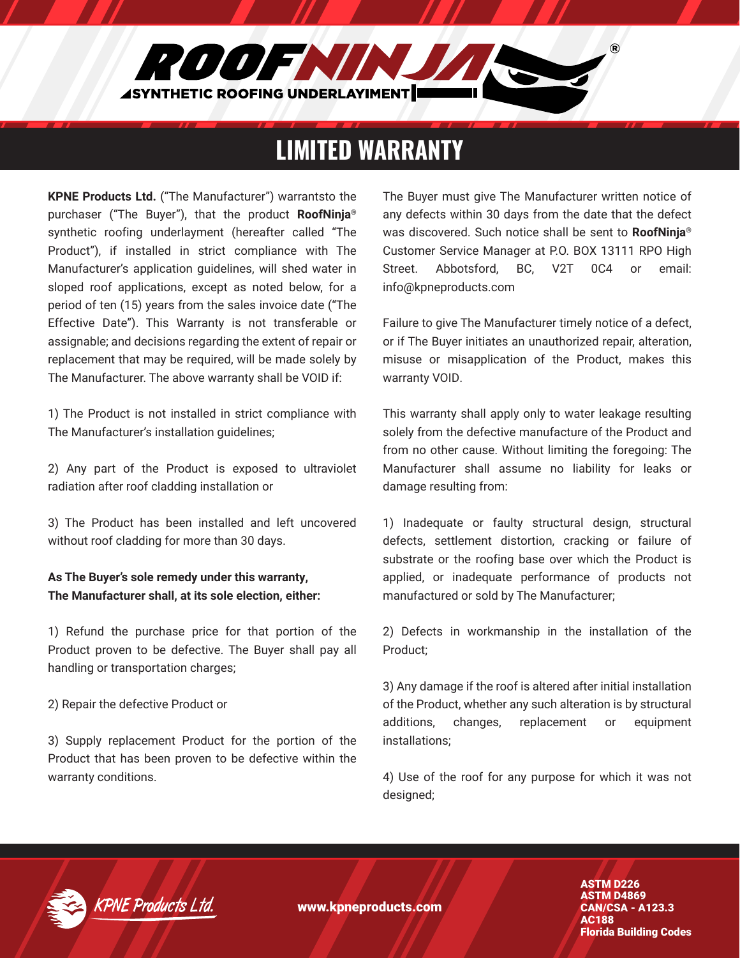

## LIMITED WARRANTY

**KPNE Products Ltd.** ("The Manufacturer") warrantsto the purchaser ("The Buyer"), that the product **RoofNinja®** synthetic roofing underlayment (hereafter called "The Product"), if installed in strict compliance with The Manufacturer's application guidelines, will shed water in sloped roof applications, except as noted below, for a period of ten (15) years from the sales invoice date ("The Effective Date"). This Warranty is not transferable or assignable; and decisions regarding the extent of repair or replacement that may be required, will be made solely by The Manufacturer. The above warranty shall be VOID if:

1) The Product is not installed in strict compliance with The Manufacturer's installation guidelines;

2) Any part of the Product is exposed to ultraviolet radiation after roof cladding installation or

3) The Product has been installed and left uncovered without roof cladding for more than 30 days.

#### **As The Buyer's sole remedy under this warranty, The Manufacturer shall, at its sole election, either:**

1) Refund the purchase price for that portion of the Product proven to be defective. The Buyer shall pay all handling or transportation charges;

2) Repair the defective Product or

3) Supply replacement Product for the portion of the Product that has been proven to be defective within the warranty conditions.

The Buyer must give The Manufacturer written notice of any defects within 30 days from the date that the defect was discovered. Such notice shall be sent to **RoofNinja®** Customer Service Manager at P.O. BOX 13111 RPO High Street. Abbotsford, BC, V2T 0C4 or email: info@kpneproducts.com

Failure to give The Manufacturer timely notice of a defect, or if The Buyer initiates an unauthorized repair, alteration, misuse or misapplication of the Product, makes this warranty VOID.

This warranty shall apply only to water leakage resulting solely from the defective manufacture of the Product and from no other cause. Without limiting the foregoing: The Manufacturer shall assume no liability for leaks or damage resulting from:

1) Inadequate or faulty structural design, structural defects, settlement distortion, cracking or failure of substrate or the roofing base over which the Product is applied, or inadequate performance of products not manufactured or sold by The Manufacturer;

2) Defects in workmanship in the installation of the Product;

3) Any damage if the roof is altered after initial installation of the Product, whether any such alteration is by structural additions, changes, replacement or equipment installations;

4) Use of the roof for any purpose for which it was not designed;



www.kpneproducts.com

ASTM D226 ASTM D4869 CAN/CSA - A123.3 AC188 Florida Building Codes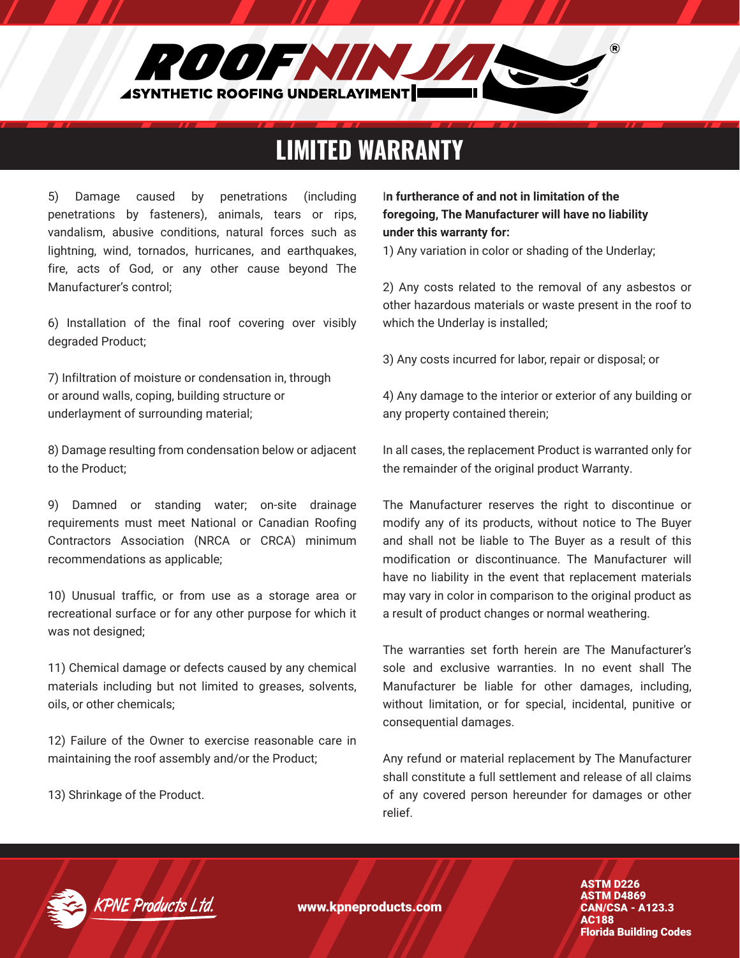

## LIMITED WARRANTY

5) Damage caused by penetrations (including penetrations by fasteners), animals, tears or rips, vandalism, abusive conditions, natural forces such as lightning, wind, tornados, hurricanes, and earthquakes, fire, acts of God, or any other cause beyond The Manufacturer's control;

6) Installation of the final roof covering over visibly degraded Product;

7) Infiltration of moisture or condensation in, through or around walls, coping, building structure or underlayment of surrounding material;

8) Damage resulting from condensation below or adjacent to the Product;

9) Damned or standing water; on-site drainage requirements must meet National or Canadian Roofing Contractors Association (NRCA or CRCA) minimum recommendations as applicable;

10) Unusual traffic, or from use as a storage area or recreational surface or for any other purpose for which it was not designed;

11) Chemical damage or defects caused by any chemical materials including but not limited to greases, solvents, oils, or other chemicals;

12) Failure of the Owner to exercise reasonable care in maintaining the roof assembly and/or the Product;

13) Shrinkage of the Product.

#### I**n furtherance of and not in limitation of the foregoing, The Manufacturer will have no liability under this warranty for:**

1) Any variation in color or shading of the Underlay;

2) Any costs related to the removal of any asbestos or other hazardous materials or waste present in the roof to which the Underlay is installed;

3) Any costs incurred for labor, repair or disposal; or

4) Any damage to the interior or exterior of any building or any property contained therein;

In all cases, the replacement Product is warranted only for the remainder of the original product Warranty.

The Manufacturer reserves the right to discontinue or modify any of its products, without notice to The Buyer and shall not be liable to The Buyer as a result of this modification or discontinuance. The Manufacturer will have no liability in the event that replacement materials may vary in color in comparison to the original product as a result of product changes or normal weathering.

The warranties set forth herein are The Manufacturer's sole and exclusive warranties. In no event shall The Manufacturer be liable for other damages, including, without limitation, or for special, incidental, punitive or consequential damages.

Any refund or material replacement by The Manufacturer shall constitute a full settlement and release of all claims of any covered person hereunder for damages or other relief.



www.kpneproducts.com

ASTM D226 ASTM D4869 CAN/CSA - A123.3 AC188 Florida Building Codes